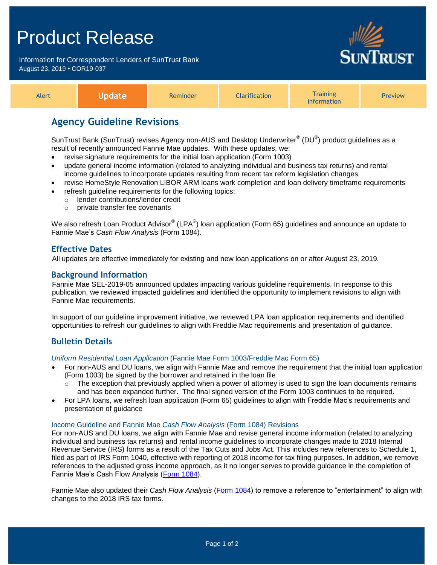# Product Release

Information for Correspondent Lenders of SunTrust Bank August 23, 2019 **•** COR19-037



| <i><b>Training</b></i><br>Alert<br><b>Exaction</b><br>Reminder<br>.<br>formation | Preview |
|----------------------------------------------------------------------------------|---------|
|----------------------------------------------------------------------------------|---------|

# **Agency Guideline Revisions**

SunTrust Bank (SunTrust) revises Agency non-AUS and Desktop Underwriter $^{\circ}$  (DU $^{\circ}$ ) product guidelines as a result of recently announced Fannie Mae updates. With these updates, we:

- revise signature requirements for the initial loan application (Form 1003)
- update general income information (related to analyzing individual and business tax returns) and rental income guidelines to incorporate updates resulting from recent tax reform legislation changes
- revise HomeStyle Renovation LIBOR ARM loans work completion and loan delivery timeframe requirements refresh guideline requirements for the following topics:
- o lender contributions/lender credit
	- o private transfer fee covenants

We also refresh Loan Product Advisor® (LPA®) loan application (Form 65) guidelines and announce an update to Fannie Mae's *Cash Flow Analysis* (Form 1084).

# **Effective Dates**

All updates are effective immediately for existing and new loan applications on or after August 23, 2019.

# **Background Information**

Fannie Mae SEL-2019-05 announced updates impacting various guideline requirements. In response to this publication, we reviewed impacted guidelines and identified the opportunity to implement revisions to align with Fannie Mae requirements.

In support of our guideline improvement initiative, we reviewed LPA loan application requirements and identified opportunities to refresh our guidelines to align with Freddie Mac requirements and presentation of guidance.

# **Bulletin Details**

*Uniform Residential Loan Application* (Fannie Mae Form 1003/Freddie Mac Form 65)

- For non-AUS and DU loans, we align with Fannie Mae and remove the requirement that the initial loan application (Form 1003) be signed by the borrower and retained in the loan file
	- $\circ$  The exception that previously applied when a power of attorney is used to sign the loan documents remains and has been expanded further. The final signed version of the Form 1003 continues to be required.
- For LPA loans, we refresh loan application (Form 65) guidelines to align with Freddie Mac's requirements and presentation of guidance

#### Income Guideline and Fannie Mae *Cash Flow Analysis* (Form 1084) Revisions

For non-AUS and DU loans, we align with Fannie Mae and revise general income information (related to analyzing individual and business tax returns) and rental income guidelines to incorporate changes made to 2018 Internal Revenue Service (IRS) forms as a result of the Tax Cuts and Jobs Act. This includes new references to Schedule 1, filed as part of IRS Form 1040, effective with reporting of 2018 income for tax filing purposes. In addition, we remove references to the adjusted gross income approach, as it no longer serves to provide guidance in the completion of Fannie Mae's Cash Flow Analysis [\(Form 1084\)](https://www.fanniemae.com/content/guide_form/1084.pdf).

Fannie Mae also updated their *Cash Flow Analysis* [\(Form 1084\)](https://www.fanniemae.com/content/guide_form/1084.pdf) to remove a reference to "entertainment" to align with changes to the 2018 IRS tax forms.